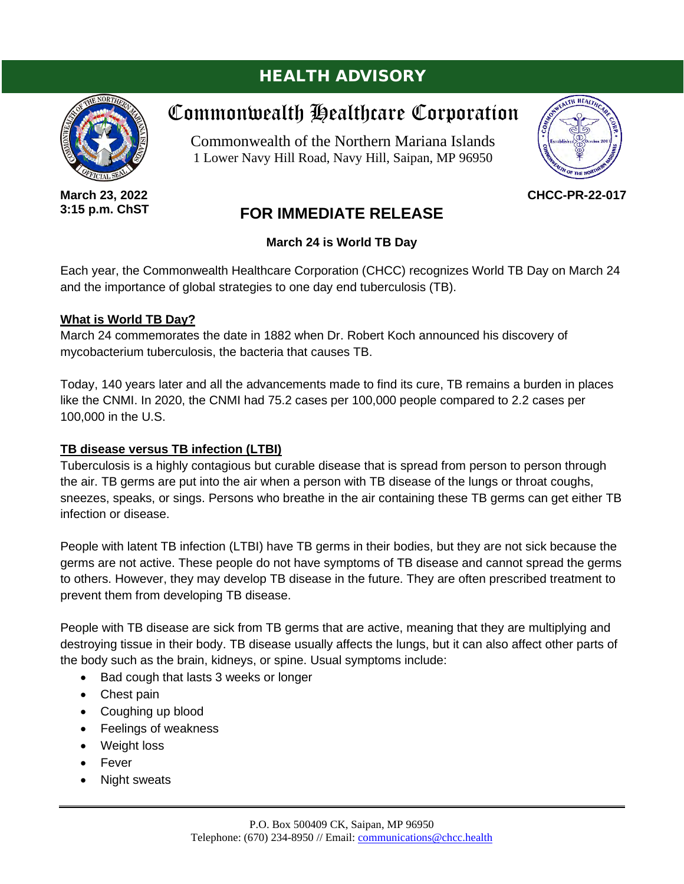# HEALTH ADVISORY

# Commonwealth Healthcare Corporation

Commonwealth of the Northern Mariana Islands 1 Lower Navy Hill Road, Navy Hill, Saipan, MP 96950

**CHCC-PR-22-017**

# **FOR IMMEDIATE RELEASE**

## **March 24 is World TB Day**

Each year, the Commonwealth Healthcare Corporation (CHCC) recognizes World TB Day on March 24 and the importance of global strategies to one day end tuberculosis (TB).

### **What is World TB Day?**

March 24 commemorates the date in 1882 when Dr. Robert Koch announced his discovery of mycobacterium tuberculosis, the bacteria that causes TB.

Today, 140 years later and all the advancements made to find its cure, TB remains a burden in places like the CNMI. In 2020, the CNMI had 75.2 cases per 100,000 people compared to 2.2 cases per 100,000 in the U.S.

## **TB disease versus TB infection (LTBI)**

Tuberculosis is a highly contagious but curable disease that is spread from person to person through the air. TB germs are put into the air when a person with TB disease of the lungs or throat coughs, sneezes, speaks, or sings. Persons who breathe in the air containing these TB germs can get either TB infection or disease.

People with latent TB infection (LTBI) have TB germs in their bodies, but they are not sick because the germs are not active. These people do not have symptoms of TB disease and cannot spread the germs to others. However, they may develop TB disease in the future. They are often prescribed treatment to prevent them from developing TB disease.

People with TB disease are sick from TB germs that are active, meaning that they are multiplying and destroying tissue in their body. TB disease usually affects the lungs, but it can also affect other parts of the body such as the brain, kidneys, or spine. Usual symptoms include:

- Bad cough that lasts 3 weeks or longer
- Chest pain
- Coughing up blood
- Feelings of weakness
- Weight loss
- Fever
- Night sweats





**March 23, 2022 3:15 p.m. ChST**